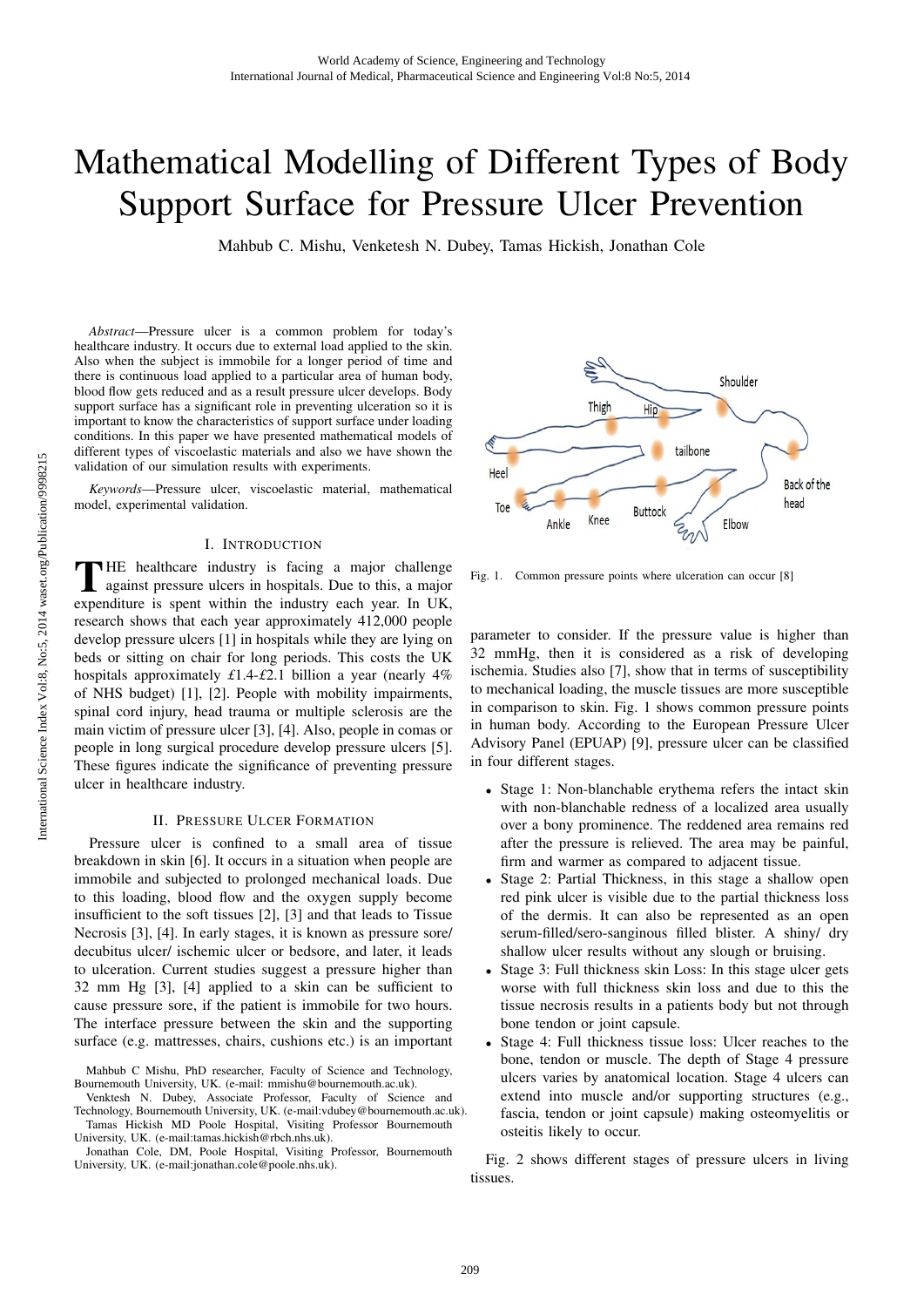# Mathematical Modelling of Different Types of Body Support Surface for Pressure Ulcer Prevention

Mahbub C. Mishu, Venketesh N. Dubey, Tamas Hickish, Jonathan Cole

*Abstract*—Pressure ulcer is a common problem for today's healthcare industry. It occurs due to external load applied to the skin. Also when the subject is immobile for a longer period of time and there is continuous load applied to a particular area of human body, blood flow gets reduced and as a result pressure ulcer develops. Body support surface has a significant role in preventing ulceration so it is important to know the characteristics of support surface under loading conditions. In this paper we have presented mathematical models of different types of viscoelastic materials and also we have shown the validation of our simulation results with experiments.

*Keywords*—Pressure ulcer, viscoelastic material, mathematical model, experimental validation.

## I. INTRODUCTION

THE healthcare industry is facing a major challenge<br>against pressure ulcers in hospitals. Due to this, a major<br>approximative is sport within the industry one you. In UK expenditure is spent within the industry each year. In UK, research shows that each year approximately 412,000 people develop pressure ulcers [1] in hospitals while they are lying on beds or sitting on chair for long periods. This costs the UK hospitals approximately *£*1.4-*£*2.1 billion a year (nearly 4% of NHS budget) [1], [2]. People with mobility impairments, spinal cord injury, head trauma or multiple sclerosis are the main victim of pressure ulcer [3], [4]. Also, people in comas or people in long surgical procedure develop pressure ulcers [5]. These figures indicate the significance of preventing pressure ulcer in healthcare industry.

### II. PRESSURE ULCER FORMATION

Pressure ulcer is confined to a small area of tissue breakdown in skin [6]. It occurs in a situation when people are immobile and subjected to prolonged mechanical loads. Due to this loading, blood flow and the oxygen supply become insufficient to the soft tissues [2], [3] and that leads to Tissue Necrosis [3], [4]. In early stages, it is known as pressure sore/ decubitus ulcer/ ischemic ulcer or bedsore, and later, it leads to ulceration. Current studies suggest a pressure higher than 32 mm Hg [3], [4] applied to a skin can be sufficient to cause pressure sore, if the patient is immobile for two hours. The interface pressure between the skin and the supporting surface (e.g. mattresses, chairs, cushions etc.) is an important

Jonathan Cole, DM, Poole Hospital, Visiting Professor, Bournemouth University, UK. (e-mail:tamas.hickish@rbch.nhs.uk).



Fig. 1. Common pressure points where ulceration can occur [8]

parameter to consider. If the pressure value is higher than 32 mmHg, then it is considered as a risk of developing ischemia. Studies also [7], show that in terms of susceptibility to mechanical loading, the muscle tissues are more susceptible in comparison to skin. Fig. 1 shows common pressure points in human body. According to the European Pressure Ulcer Advisory Panel (EPUAP) [9], pressure ulcer can be classified in four different stages.

- Stage 1: Non-blanchable erythema refers the intact skin with non-blanchable redness of a localized area usually over a bony prominence. The reddened area remains red after the pressure is relieved. The area may be painful, firm and warmer as compared to adjacent tissue.
- Stage 2: Partial Thickness, in this stage a shallow open red pink ulcer is visible due to the partial thickness loss of the dermis. It can also be represented as an open serum-filled/sero-sanginous filled blister. A shiny/ dry shallow ulcer results without any slough or bruising.
- Stage 3: Full thickness skin Loss: In this stage ulcer gets worse with full thickness skin loss and due to this the tissue necrosis results in a patients body but not through bone tendon or joint capsule.
- Stage 4: Full thickness tissue loss: Ulcer reaches to the bone, tendon or muscle. The depth of Stage 4 pressure ulcers varies by anatomical location. Stage 4 ulcers can extend into muscle and/or supporting structures (e.g., fascia, tendon or joint capsule) making osteomyelitis or osteitis likely to occur.

Fig. 2 shows different stages of pressure ulcers in living tissues.

Mahbub C Mishu, PhD researcher, Faculty of Science and Technology, Bournemouth University, UK. (e-mail: mmishu@bournemouth.ac.uk).

Venktesh N. Dubey, Associate Professor, Faculty of Science and Tamas Hickish MD Poole Hospital, Visiting Professor Bournemouth Technology, Bournemouth University, UK. (e-mail:vdubey@bournemouth.ac.uk).

University, UK. (e-mail:jonathan.cole@poole.nhs.uk).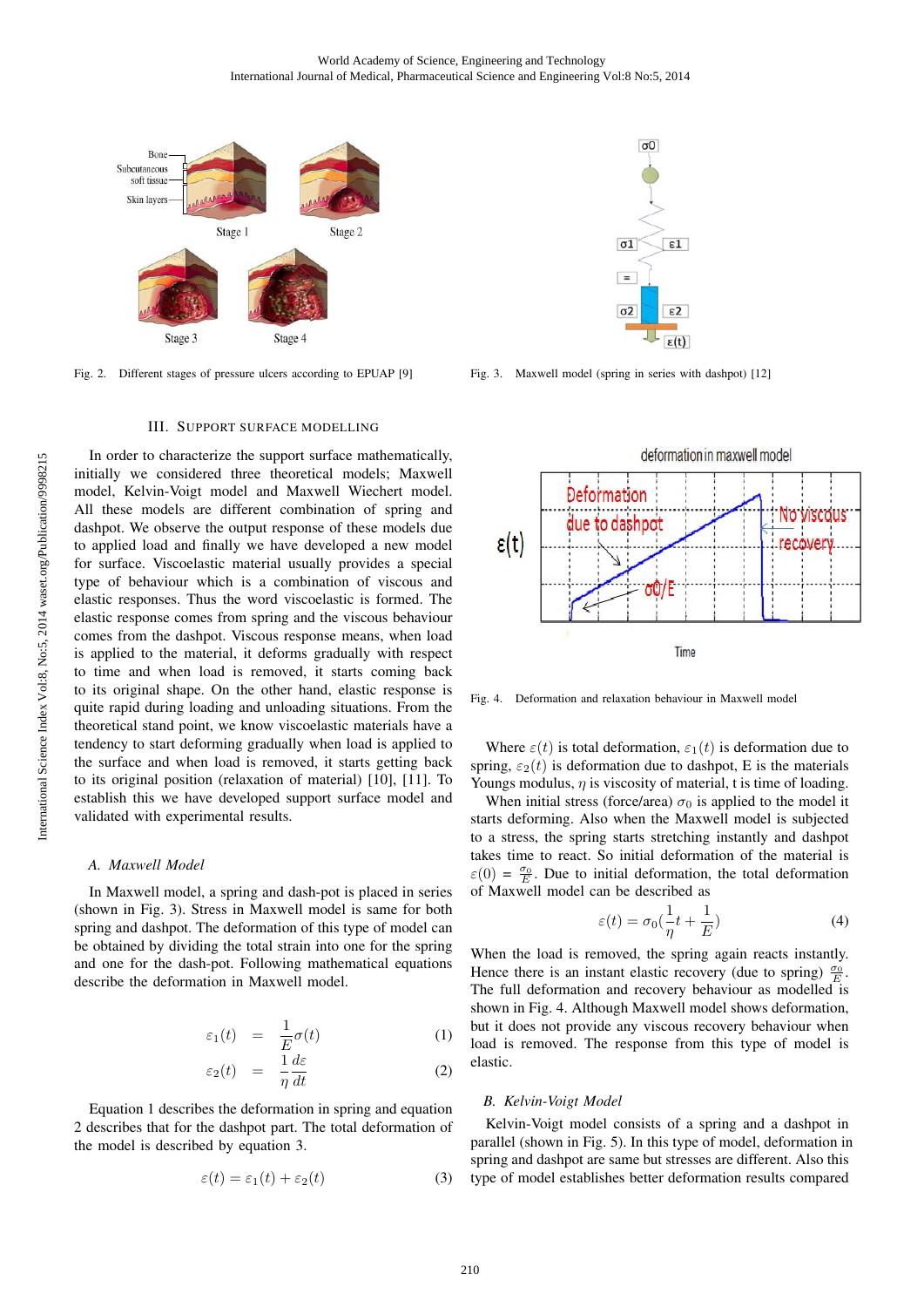

Fig. 2. Different stages of pressure ulcers according to EPUAP [9]

#### III. SUPPORT SURFACE MODELLING

In order to characterize the support surface mathematically, initially we considered three theoretical models; Maxwell model, Kelvin-Voigt model and Maxwell Wiechert model. All these models are different combination of spring and dashpot. We observe the output response of these models due to applied load and finally we have developed a new model for surface. Viscoelastic material usually provides a special type of behaviour which is a combination of viscous and elastic responses. Thus the word viscoelastic is formed. The elastic response comes from spring and the viscous behaviour comes from the dashpot. Viscous response means, when load is applied to the material, it deforms gradually with respect to time and when load is removed, it starts coming back to its original shape. On the other hand, elastic response is quite rapid during loading and unloading situations. From the theoretical stand point, we know viscoelastic materials have a tendency to start deforming gradually when load is applied to the surface and when load is removed, it starts getting back to its original position (relaxation of material) [10], [11]. To establish this we have developed support surface model and validated with experimental results.

## *A. Maxwell Model*

In Maxwell model, a spring and dash-pot is placed in series (shown in Fig. 3). Stress in Maxwell model is same for both spring and dashpot. The deformation of this type of model can be obtained by dividing the total strain into one for the spring and one for the dash-pot. Following mathematical equations describe the deformation in Maxwell model.

$$
\varepsilon_1(t) = \frac{1}{E}\sigma(t) \tag{1}
$$

$$
\varepsilon_2(t) = \frac{1}{\eta} \frac{d\varepsilon}{dt} \tag{2}
$$

Equation 1 describes the deformation in spring and equation 2 describes that for the dashpot part. The total deformation of the model is described by equation 3.

$$
\varepsilon(t) = \varepsilon_1(t) + \varepsilon_2(t) \tag{3}
$$



Fig. 3. Maxwell model (spring in series with dashpot) [12]



Fig. 4. Deformation and relaxation behaviour in Maxwell model

Where  $\varepsilon(t)$  is total deformation,  $\varepsilon_1(t)$  is deformation due to spring,  $\varepsilon_2(t)$  is deformation due to dashpot, E is the materials Youngs modulus,  $\eta$  is viscosity of material, t is time of loading.

When initial stress (force/area)  $\sigma_0$  is applied to the model it starts deforming. Also when the Maxwell model is subjected to a stress, the spring starts stretching instantly and dashpot takes time to react. So initial deformation of the material is  $\varepsilon(0) = \frac{\sigma_0}{E}$ . Due to initial deformation, the total deformation of Maxwell model can be described as

$$
\varepsilon(t) = \sigma_0(\frac{1}{\eta}t + \frac{1}{E})
$$
\n(4)

When the load is removed, the spring again reacts instantly. Hence there is an instant elastic recovery (due to spring)  $\frac{\sigma_0}{E}$ . The full deformation and recovery behaviour as modelled is shown in Fig. 4. Although Maxwell model shows deformation, but it does not provide any viscous recovery behaviour when load is removed. The response from this type of model is elastic.

#### *B. Kelvin-Voigt Model*

Kelvin-Voigt model consists of a spring and a dashpot in spring and dashpot are same but stresses are different. Also this type of model establishes better deformation results compared parallel (shown in Fig. 5). In this type of model, deformation in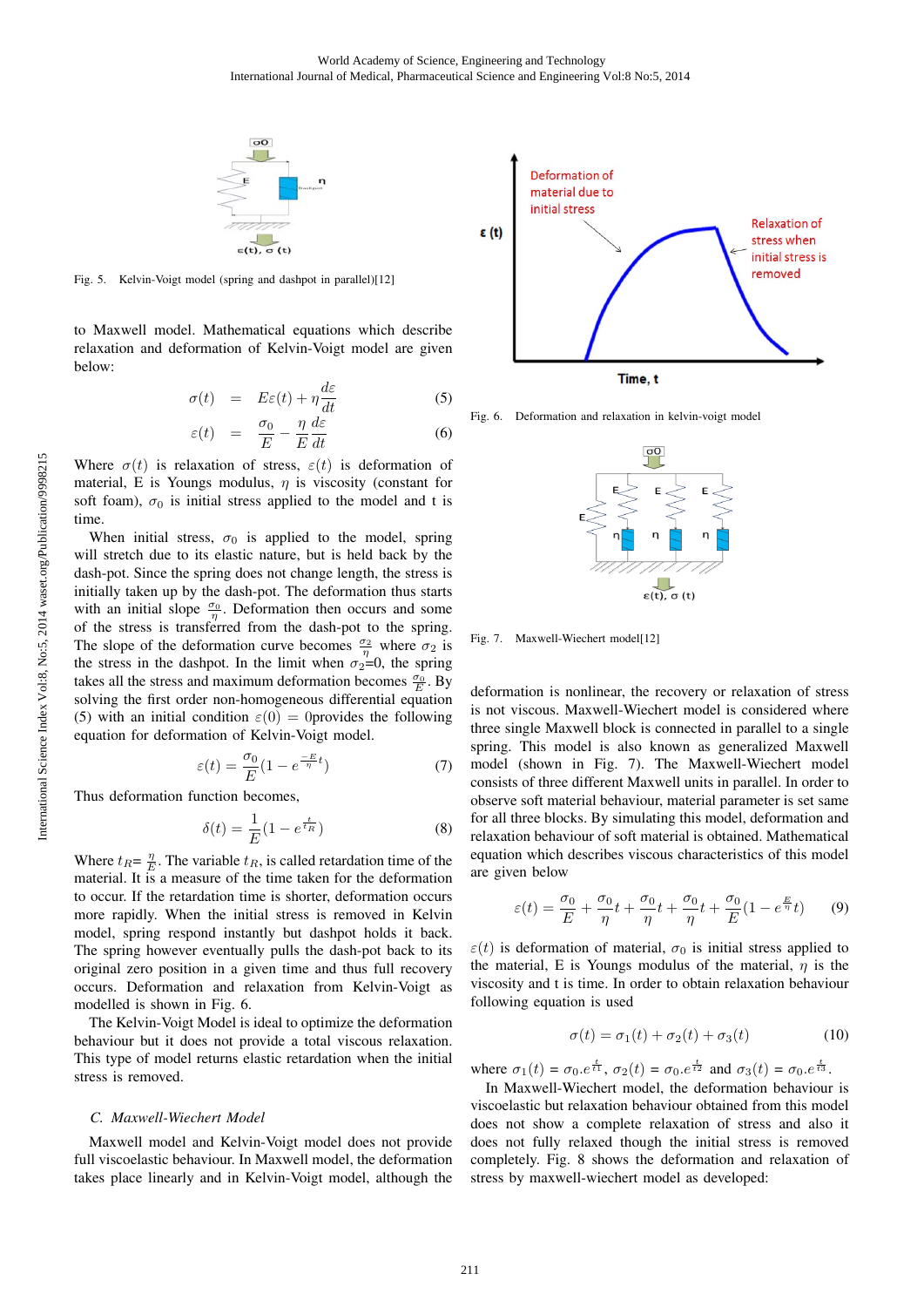

Fig. 5. Kelvin-Voigt model (spring and dashpot in parallel)[12]

to Maxwell model. Mathematical equations which describe relaxation and deformation of Kelvin-Voigt model are given below:

$$
\sigma(t) = E\varepsilon(t) + \eta \frac{d\varepsilon}{dt} \tag{5}
$$

$$
\varepsilon(t) = \frac{\sigma_0}{E} - \frac{\eta}{E} \frac{d\varepsilon}{dt} \tag{6}
$$

Where  $\sigma(t)$  is relaxation of stress,  $\varepsilon(t)$  is deformation of material, E is Youngs modulus,  $\eta$  is viscosity (constant for soft foam),  $\sigma_0$  is initial stress applied to the model and t is time.

When initial stress,  $\sigma_0$  is applied to the model, spring will stretch due to its elastic nature, but is held back by the dash-pot. Since the spring does not change length, the stress is initially taken up by the dash-pot. The deformation thus starts with an initial slope  $\frac{\sigma_0}{\eta}$ . Deformation then occurs and some of the stress is transferred from the dash-pot to the spring. The slope of the deformation curve becomes  $\frac{\sigma_2}{\eta}$  where  $\sigma_2$  is the stress in the dashpot. In the limit when  $\sigma_2=0$ , the spring takes all the stress and maximum deformation becomes  $\frac{\sigma_0}{E}$ . By solving the first order non-homogeneous differential equation (5) with an initial condition  $\varepsilon(0) = 0$  provides the following equation for deformation of Kelvin-Voigt model.

$$
\varepsilon(t) = \frac{\sigma_0}{E} (1 - e^{\frac{-E}{\eta}t})
$$
\n(7)

Thus deformation function becomes,

$$
\delta(t) = \frac{1}{E} (1 - e^{\frac{t}{t_R}})
$$
\n(8)

Where  $t_R = \frac{\eta}{E}$ . The variable  $t_R$ , is called retardation time of the material. It is a measure of the time taken for the deformation to occur. If the retardation time is shorter, deformation occurs more rapidly. When the initial stress is removed in Kelvin model, spring respond instantly but dashpot holds it back. The spring however eventually pulls the dash-pot back to its original zero position in a given time and thus full recovery occurs. Deformation and relaxation from Kelvin-Voigt as modelled is shown in Fig. 6.

The Kelvin-Voigt Model is ideal to optimize the deformation behaviour but it does not provide a total viscous relaxation. This type of model returns elastic retardation when the initial stress is removed.

#### *C. Maxwell-Wiechert Model*

Maxwell model and Kelvin-Voigt model does not provide full viscoelastic behaviour. In Maxwell model, the deformation takes place linearly and in Kelvin-Voigt model, although the



Fig. 6. Deformation and relaxation in kelvin-voigt model



Fig. 7. Maxwell-Wiechert model[12]

deformation is nonlinear, the recovery or relaxation of stress is not viscous. Maxwell-Wiechert model is considered where three single Maxwell block is connected in parallel to a single spring. This model is also known as generalized Maxwell model (shown in Fig. 7). The Maxwell-Wiechert model consists of three different Maxwell units in parallel. In order to observe soft material behaviour, material parameter is set same for all three blocks. By simulating this model, deformation and relaxation behaviour of soft material is obtained. Mathematical equation which describes viscous characteristics of this model are given below

$$
\varepsilon(t) = \frac{\sigma_0}{E} + \frac{\sigma_0}{\eta}t + \frac{\sigma_0}{\eta}t + \frac{\sigma_0}{\eta}t + \frac{\sigma_0}{E}(1 - e^{\frac{E}{\eta}}t) \tag{9}
$$

 $\varepsilon(t)$  is deformation of material,  $\sigma_0$  is initial stress applied to the material, E is Youngs modulus of the material,  $\eta$  is the viscosity and t is time. In order to obtain relaxation behaviour following equation is used

$$
\sigma(t) = \sigma_1(t) + \sigma_2(t) + \sigma_3(t) \tag{10}
$$

where  $\sigma_1(t) = \sigma_0 e^{\frac{t}{t_1}}, \sigma_2(t) = \sigma_0 e^{\frac{t}{t_2}}$  and  $\sigma_3(t) = \sigma_0 e^{\frac{t}{t_3}}$ .

In Maxwell-Wiechert model, the deformation behaviour is viscoelastic but relaxation behaviour obtained from this model does not show a complete relaxation of stress and also it does not fully relaxed though the initial stress is removed completely. Fig. 8 shows the deformation and relaxation of stress by maxwell-wiechert model as developed: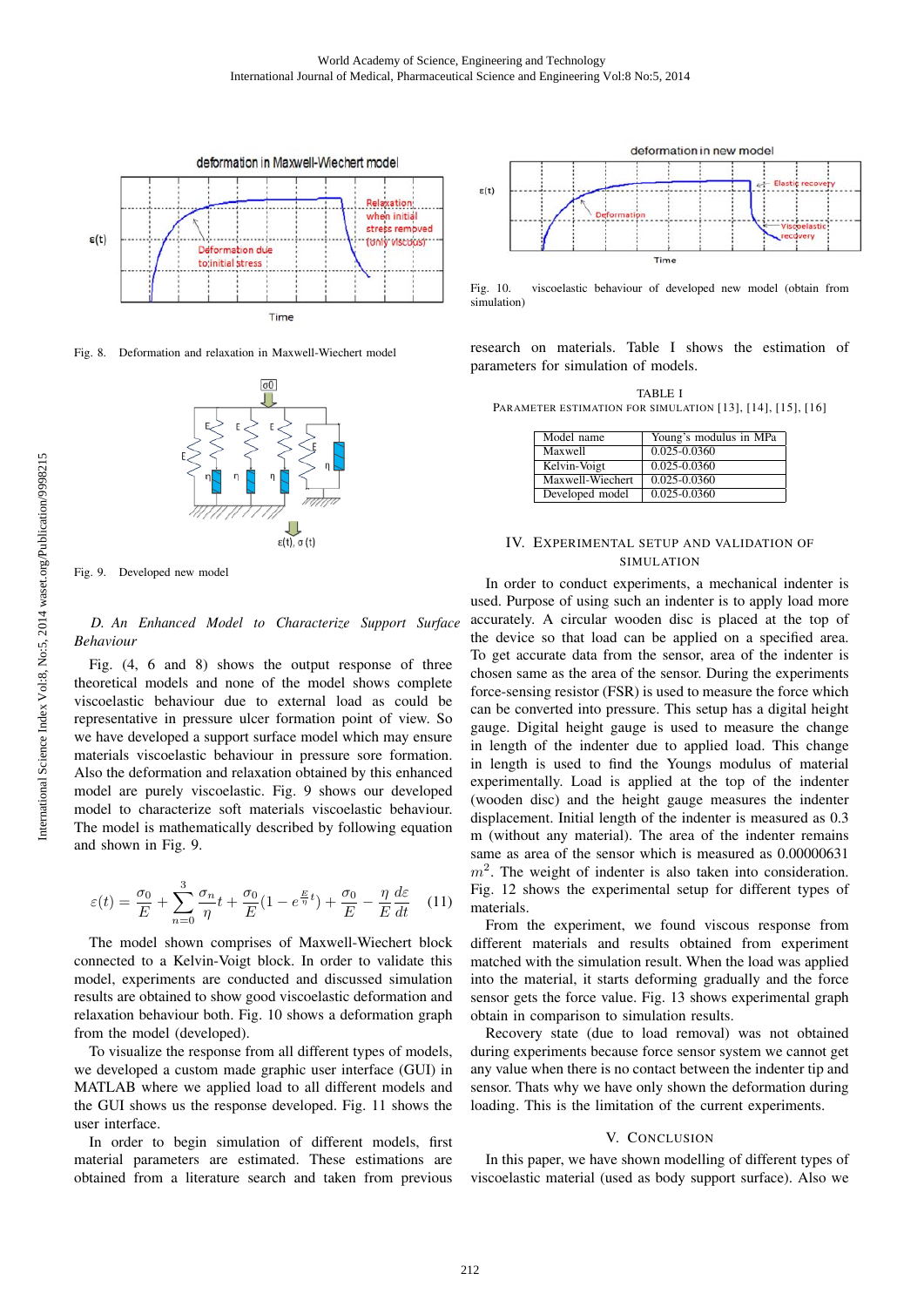

Fig. 8. Deformation and relaxation in Maxwell-Wiechert model



Fig. 9. Developed new model

*D. An Enhanced Model to Characterize Support Surface Behaviour*

Fig. (4, 6 and 8) shows the output response of three theoretical models and none of the model shows complete viscoelastic behaviour due to external load as could be representative in pressure ulcer formation point of view. So we have developed a support surface model which may ensure materials viscoelastic behaviour in pressure sore formation. Also the deformation and relaxation obtained by this enhanced model are purely viscoelastic. Fig. 9 shows our developed model to characterize soft materials viscoelastic behaviour. The model is mathematically described by following equation and shown in Fig. 9.

$$
\varepsilon(t) = \frac{\sigma_0}{E} + \sum_{n=0}^{3} \frac{\sigma_n}{\eta} t + \frac{\sigma_0}{E} (1 - e^{\frac{E}{\eta}t}) + \frac{\sigma_0}{E} - \frac{\eta}{E} \frac{d\varepsilon}{dt} \tag{11}
$$

The model shown comprises of Maxwell-Wiechert block connected to a Kelvin-Voigt block. In order to validate this model, experiments are conducted and discussed simulation results are obtained to show good viscoelastic deformation and relaxation behaviour both. Fig. 10 shows a deformation graph from the model (developed).

To visualize the response from all different types of models, we developed a custom made graphic user interface (GUI) in MATLAB where we applied load to all different models and the GUI shows us the response developed. Fig. 11 shows the user interface.

In order to begin simulation of different models, first material parameters are estimated. These estimations are obtained from a literature search and taken from previous



Fig. 10. viscoelastic behaviour of developed new model (obtain from simulation)

research on materials. Table I shows the estimation of parameters for simulation of models.

TABLE I PARAMETER ESTIMATION FOR SIMULATION [13], [14], [15], [16]

| Model name       | Young's modulus in MPa |
|------------------|------------------------|
| Maxwell          | 0.025-0.0360           |
| Kelvin-Voigt     | $0.025 - 0.0360$       |
| Maxwell-Wiechert | 0.025-0.0360           |
| Developed model  | 0.025-0.0360           |

# IV. EXPERIMENTAL SETUP AND VALIDATION OF SIMULATION

In order to conduct experiments, a mechanical indenter is used. Purpose of using such an indenter is to apply load more accurately. A circular wooden disc is placed at the top of the device so that load can be applied on a specified area. To get accurate data from the sensor, area of the indenter is chosen same as the area of the sensor. During the experiments force-sensing resistor (FSR) is used to measure the force which can be converted into pressure. This setup has a digital height gauge. Digital height gauge is used to measure the change in length of the indenter due to applied load. This change in length is used to find the Youngs modulus of material experimentally. Load is applied at the top of the indenter (wooden disc) and the height gauge measures the indenter displacement. Initial length of the indenter is measured as 0.3 m (without any material). The area of the indenter remains same as area of the sensor which is measured as 0.00000631  $m<sup>2</sup>$ . The weight of indenter is also taken into consideration. Fig. 12 shows the experimental setup for different types of materials.

From the experiment, we found viscous response from different materials and results obtained from experiment matched with the simulation result. When the load was applied into the material, it starts deforming gradually and the force sensor gets the force value. Fig. 13 shows experimental graph obtain in comparison to simulation results.

Recovery state (due to load removal) was not obtained during experiments because force sensor system we cannot get any value when there is no contact between the indenter tip and sensor. Thats why we have only shown the deformation during loading. This is the limitation of the current experiments.

# V. CONCLUSION

In this paper, we have shown modelling of different types of viscoelastic material (used as body support surface). Also we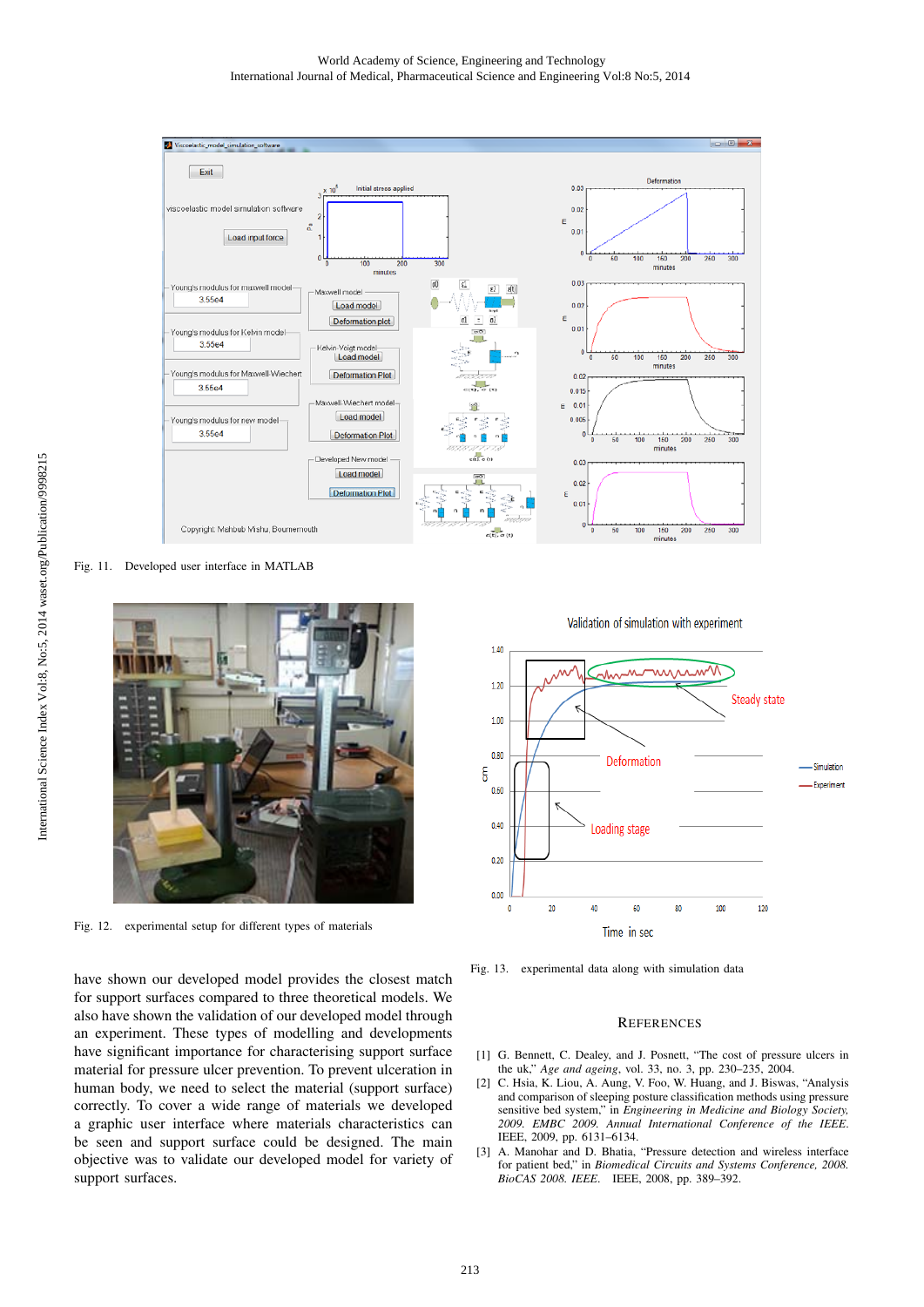#### World Academy of Science, Engineering and Technology International Journal of Medical, Pharmaceutical Science and Engineering Vol:8 No:5, 2014



Fig. 11. Developed user interface in MATLAB



Fig. 12. experimental setup for different types of materials

have shown our developed model provides the closest match for support surfaces compared to three theoretical models. We also have shown the validation of our developed model through an experiment. These types of modelling and developments have significant importance for characterising support surface material for pressure ulcer prevention. To prevent ulceration in human body, we need to select the material (support surface) correctly. To cover a wide range of materials we developed a graphic user interface where materials characteristics can be seen and support surface could be designed. The main objective was to validate our developed model for variety of support surfaces.

Validation of simulation with experiment 1.40 mirrum  $1.20$ Steady state  $1.00$  $0.80$ Deformation Simulation  $\epsilon$ Experiment  $0.60$  $0.40$ Loading stage  $0.20$  $0.00$  $\overline{20}$  $40$ 60 120 80 100  $\mathbf{0}$ Time in sec

Fig. 13. experimental data along with simulation data

#### **REFERENCES**

- [1] G. Bennett, C. Dealey, and J. Posnett, "The cost of pressure ulcers in the uk," *Age and ageing*, vol. 33, no. 3, pp. 230–235, 2004.
- [2] C. Hsia, K. Liou, A. Aung, V. Foo, W. Huang, and J. Biswas, "Analysis and comparison of sleeping posture classification methods using pressure sensitive bed system," in *Engineering in Medicine and Biology Society, 2009. EMBC 2009. Annual International Conference of the IEEE*. IEEE, 2009, pp. 6131–6134.
- [3] A. Manohar and D. Bhatia, "Pressure detection and wireless interface for patient bed," in *Biomedical Circuits and Systems Conference, 2008. BioCAS 2008. IEEE*. IEEE, 2008, pp. 389–392.

International Science Index Vol:8, No:5, 2014 waset.org/Publication/9998215 [International Science Index Vol:8, No:5, 2014 waset.org/Publi](http://waset.org/publication/Mathematical-Modelling-of-Different-Types-of-Body-Support-Surface-for-Pressure-Ulcer-Prevention/9998215)cation/9998215